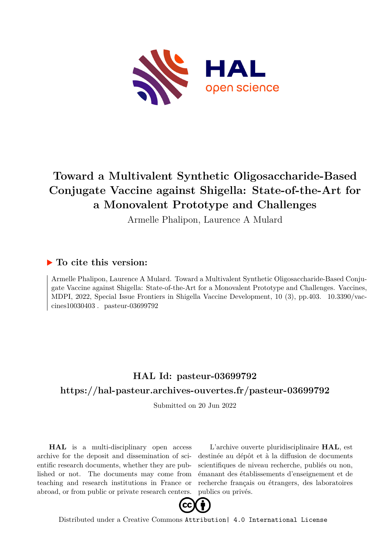

# **Toward a Multivalent Synthetic Oligosaccharide-Based Conjugate Vaccine against Shigella: State-of-the-Art for a Monovalent Prototype and Challenges**

Armelle Phalipon, Laurence A Mulard

## **To cite this version:**

Armelle Phalipon, Laurence A Mulard. Toward a Multivalent Synthetic Oligosaccharide-Based Conjugate Vaccine against Shigella: State-of-the-Art for a Monovalent Prototype and Challenges. Vaccines, MDPI, 2022, Special Issue Frontiers in Shigella Vaccine Development, 10 (3), pp.403. 10.3390/vaccines $10030403$ . pasteur-03699792

# **HAL Id: pasteur-03699792 <https://hal-pasteur.archives-ouvertes.fr/pasteur-03699792>**

Submitted on 20 Jun 2022

**HAL** is a multi-disciplinary open access archive for the deposit and dissemination of scientific research documents, whether they are published or not. The documents may come from teaching and research institutions in France or abroad, or from public or private research centers.

L'archive ouverte pluridisciplinaire **HAL**, est destinée au dépôt et à la diffusion de documents scientifiques de niveau recherche, publiés ou non, émanant des établissements d'enseignement et de recherche français ou étrangers, des laboratoires publics ou privés.



Distributed under a Creative Commons [Attribution| 4.0 International License](http://creativecommons.org/licenses/by/4.0/)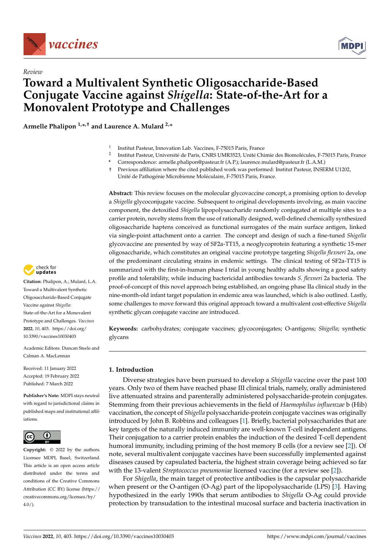



## *Review* **Toward a Multivalent Synthetic Oligosaccharide-Based Conjugate Vaccine against** *Shigella***: State-of-the-Art for a Monovalent Prototype and Challenges**

**Armelle Phalipon 1,\* ,† and Laurence A. Mulard 2,\***

- 1 Institut Pasteur, Innovation Lab. Vaccines, F-75015 Paris, France
- 2 Institut Pasteur, Université de Paris, CNRS UMR3523, Unité Chimie des Biomolécules, F-75015 Paris, France
- **\*** Correspondence: armelle.phalipon@pasteur.fr (A.P.); laurence.mulard@pasteur.fr (L.A.M.)
- † Previous affiliation where the cited published work was performed: Institut Pasteur, INSERM U1202, Unité de Pathogénie Microbienne Moléculaire, F-75015 Paris, France.

**Abstract:** This review focuses on the molecular glycovaccine concept, a promising option to develop a *Shigella* glycoconjugate vaccine. Subsequent to original developments involving, as main vaccine component, the detoxified *Shigella* lipopolysaccharide randomly conjugated at multiple sites to a carrier protein, novelty stems from the use of rationally designed, well-defined chemically synthesized oligosaccharide haptens conceived as functional surrogates of the main surface antigen, linked via single-point attachment onto a carrier. The concept and design of such a fine-tuned *Shigella* glycovaccine are presented by way of SF2a-TT15, a neoglycoprotein featuring a synthetic 15-mer oligosaccharide, which constitutes an original vaccine prototype targeting *Shigella flexneri* 2a, one of the predominant circulating strains in endemic settings. The clinical testing of SF2a-TT15 is summarized with the first-in-human phase I trial in young healthy adults showing a good safety profile and tolerability, while inducing bactericidal antibodies towards *S. flexneri* 2a bacteria. The proof-of-concept of this novel approach being established, an ongoing phase IIa clinical study in the nine-month-old infant target population in endemic area was launched, which is also outlined. Lastly, some challenges to move forward this original approach toward a multivalent cost-effective *Shigella* synthetic glycan conjugate vaccine are introduced.

**Keywords:** carbohydrates; conjugate vaccines; glycoconjugates; O-antigens; *Shigella*; synthetic glycans

## **1. Introduction**

Diverse strategies have been pursued to develop a *Shigella* vaccine over the past 100 years. Only two of them have reached phase III clinical trials, namely, orally administered live attenuated strains and parenterally administered polysaccharide-protein conjugates. Stemming from their previous achievements in the field of *Haemophilus influenzae* b (Hib) vaccination, the concept of *Shigella* polysaccharide-protein conjugate vaccines was originally introduced by John B. Robbins and colleagues [1]. Briefly, bacterial polysaccharides that are key targets of the naturally induced immunity are well-known T-cell independent antigens. Their conjugation to a carrier protein enables the induction of the desired T-cell dependent humoral immunity, including priming of the host memory B cells (for a review see [2]). Of note, several multivalent conjugate vaccines have been successfully implemented against diseases caused by capsulated bacteria, the highest strain coverage being achieved so far with the 13-valent *Streptococcus pneumoniae* licensed vaccine (for a review see [2]).

For *Shigella*, the main target of protective antibodies is the capsular polysaccharide when present or the O-antigen (O-Ag) part of the lipopolysaccharide (LPS) [3]. Having hypothesized in the early 1990s that serum antibodies to *Shigella* O-Ag could provide protection by transudation to the intestinal mucosal surface and bacteria inactivation in



**Citation:** Phalipon, A.; Mulard, L.A. Toward a Multivalent Synthetic Oligosaccharide-Based Conjugate Vaccine against *Shigella*: State-of-the-Art for a Monovalent Prototype and Challenges. *Vaccines* **2022**, *10*, 403. [https://doi.org/](https://doi.org/10.3390/vaccines10030403) [10.3390/vaccines10030403](https://doi.org/10.3390/vaccines10030403)

Academic Editors: Duncan Steele and Calman A. MacLennan

Received: 11 January 2022 Accepted: 19 February 2022 Published: 7 March 2022

**Publisher's Note:** MDPI stays neutral with regard to jurisdictional claims in published maps and institutional affiliations.



**Copyright:** © 2022 by the authors. Licensee MDPI, Basel, Switzerland. This article is an open access article distributed under the terms and conditions of the Creative Commons Attribution (CC BY) license [\(https://](https://creativecommons.org/licenses/by/4.0/) [creativecommons.org/licenses/by/](https://creativecommons.org/licenses/by/4.0/)  $4.0/$ ).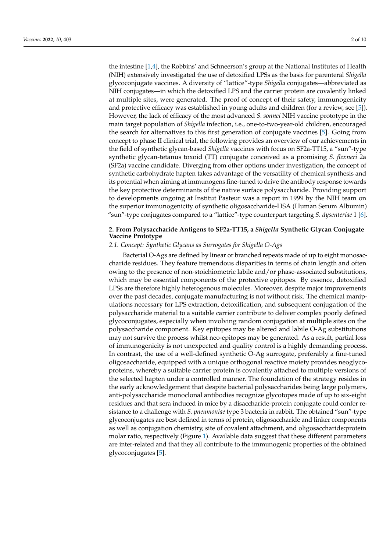the intestine [1,4], the Robbins' and Schneerson's group at the National Institutes of Health (NIH) extensively investigated the use of detoxified LPSs as the basis for parenteral *Shigella* glycoconjugate vaccines. A diversity of "lattice"-type *Shigella* conjugates—abbreviated as NIH conjugates—in which the detoxified LPS and the carrier protein are covalently linked at multiple sites, were generated. The proof of concept of their safety, immunogenicity and protective efficacy was established in young adults and children (for a review, see [5]). However, the lack of efficacy of the most advanced *S. sonnei* NIH vaccine prototype in the main target population of *Shigella* infection, i.e., one-to-two-year-old children, encouraged the search for alternatives to this first generation of conjugate vaccines [5]. Going from concept to phase II clinical trial, the following provides an overview of our achievements in the field of synthetic glycan-based *Shigella* vaccines with focus on SF2a-TT15, a "sun"-type synthetic glycan-tetanus toxoid (TT) conjugate conceived as a promising *S. flexneri* 2a (SF2a) vaccine candidate. Diverging from other options under investigation, the concept of synthetic carbohydrate hapten takes advantage of the versatility of chemical synthesis and its potential when aiming at immunogens fine-tuned to drive the antibody response towards the key protective determinants of the native surface polysaccharide. Providing support to developments ongoing at Institut Pasteur was a report in 1999 by the NIH team on the superior immunogenicity of synthetic oligosaccharide-HSA (Human Serum Albumin) "sun"-type conjugates compared to a "lattice"-type counterpart targeting *S. dysenteriae* 1 [6].

## **2. From Polysaccharide Antigens to SF2a-TT15, a** *Shigella* **Synthetic Glycan Conjugate Vaccine Prototype**

### *2.1. Concept: Synthetic Glycans as Surrogates for Shigella O-Ags*

Bacterial O-Ags are defined by linear or branched repeats made of up to eight monosaccharide residues. They feature tremendous disparities in terms of chain length and often owing to the presence of non-stoichiometric labile and/or phase-associated substitutions, which may be essential components of the protective epitopes. By essence, detoxified LPSs are therefore highly heterogenous molecules. Moreover, despite major improvements over the past decades, conjugate manufacturing is not without risk. The chemical manipulations necessary for LPS extraction, detoxification, and subsequent conjugation of the polysaccharide material to a suitable carrier contribute to deliver complex poorly defined glycoconjugates, especially when involving random conjugation at multiple sites on the polysaccharide component. Key epitopes may be altered and labile O-Ag substitutions may not survive the process whilst neo-epitopes may be generated. As a result, partial loss of immunogenicity is not unexpected and quality control is a highly demanding process. In contrast, the use of a well-defined synthetic O-Ag surrogate, preferably a fine-tuned oligosaccharide, equipped with a unique orthogonal reactive moiety provides neoglycoproteins, whereby a suitable carrier protein is covalently attached to multiple versions of the selected hapten under a controlled manner. The foundation of the strategy resides in the early acknowledgement that despite bacterial polysaccharides being large polymers, anti-polysaccharide monoclonal antibodies recognize glycotopes made of up to six-eight residues and that sera induced in mice by a disaccharide-protein conjugate could confer resistance to a challenge with *S. pneumoniae* type 3 bacteria in rabbit. The obtained "sun"-type glycoconjugates are best defined in terms of protein, oligosaccharide and linker components as well as conjugation chemistry, site of covalent attachment, and oligosaccharide:protein molar ratio, respectively (Figure 1). Available data suggest that these different parameters are inter-related and that they all contribute to the immunogenic properties of the obtained glycoconjugates [5].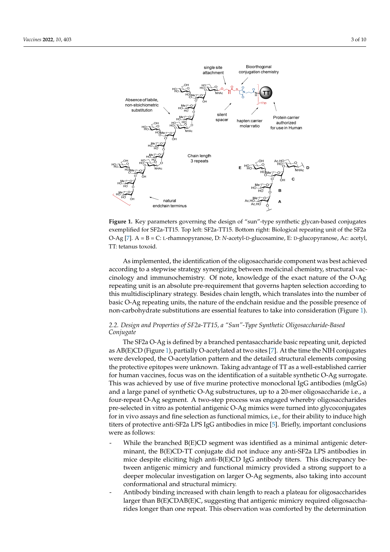

**Figure 1.** Key parameters governing the design of "sun"-type synthetic glycan-based conjugates **Figure 1.** Key parameters governing the design of "sun"-type synthetic glycan-based conjugates exemplified for SF2a-TT15. Top left: SF2a-TT15. Bottom right: Biological repeating unit of the SF2a exemplified for SF2a-TT15. Top left: SF2a-TT15. Bottom right: Biological repeating unit of the SF2a O-Ag [7]. A = B = C: L-rhamnopyranose, D: *N*-acetyl-D-glucosamine, E: D-glucopyranose, Ac: acetyl, O-Ag [7]. A = B = C: L-rhamnopyranose, D: *N*-acetyl-D-glucosamine, E: D-glucopyranose, Ac: acetyl, TT: tetanus toxoid. TT: tetanus toxoid.

As implemented, the identification of the oligosaccharide component was best As implemented, the identification of the oligosaccharide component was best achieved according to a stepwise strategy synergizing between medicinal chemistry, structural vaccinology and immunochemistry. Of note, knowledge of the exact nature of the O-Ag repeating unit is an absolute pre-requirement that governs hapten selection according to this multidisciplinary strategy. Besides chain length, which translates into the number of basic O-Ag repeating units, the nature of the endchain residue and the possible presence of non-carbohydrate substitutions are essential features to take into consideration (Figure 1).

#### *2.2. Design and Properties of SF2a-TT15, a "Sun"-Type Synthetic Oligosaccharide-Based 2.2. Design and Properties of SF2a-TT15, a "Sun"-Type Synthetic Oligosaccharide-Based Conjugate*

*Conjugate*  The SF2a O-Ag is defined by a branched pentasaccharide basic repeating unit, depicted as AB(E)CD (Figure 1), partially O-acetylated at two sites [7]. At the time the NIH conjugates were developed, the O-acetylation pattern and the detailed structural elements composing the protective epitopes were unknown. Taking advantage of TT as a well-established carrier for human vaccines, focus was on the identification of a suitable synthetic O-Ag surrogate.<br>The complete of the contract of the identification of a suitable synthetic O-Ag surrogate. This was achieved by use of five murine protective monoclonal IgG antibodies (mIgGs) and a large panel of synthetic O-Ag substructures, up to a 20-mer oligosaccharide i.e., a<br>. four-repeat O-Ag segment. A two-step process was engaged whereby oligosaccharides pre-selected in vitro as potential antigenic O-Ag mimics were turned into glycoconjugates for in vivo assays and fine selection as functional mimics, i.e., for their ability to induce high<br>titros of good selection and CEO-ADC LC so the disc in viso [51]. Briefly in postant conclusions glycoconjugates for *in vivo* assays and fine selection as functional mimics, i.e., for their titers of protective anti-SF2a LPS IgG antibodies in mice [5]. Briefly, important conclusions  $\alpha$  ability to induce the protective anti-SF2a LPs iggs  $\alpha$  LPs in microconditions in microconditions. were as follows:

- $\;$  While the branched B(E)CD segment was identified as a minimal antigenic determinant, the B(E)CD-TT conjugate did not induce any anti-SF2a LPS antibodies in mice despite eliciting high anti-B(E)CD IgG antibody titers. This discrepancy between antigenic mimicry and functional mimicry provided a strong support to a deeper molecular investigation on larger O-Ag segments, also taking into account lecular investigation on larger O-Ag segments, also taking into account conformaconformational and structural mimicry.
- Antibody binding increased with chain length to reach a plateau for oligosaccharides larger than B(E)CDAB(E)C, suggesting that antigenic mimicry required oligosaccharides longer than one repeat. This observation was comforted by the determination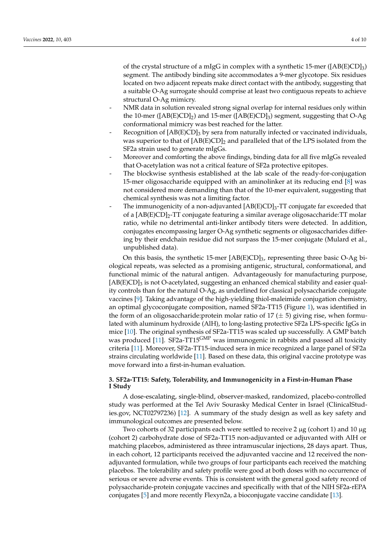of the crystal structure of a mIgG in complex with a synthetic 15-mer ( $[AB(E)CD]_3$ ) segment. The antibody binding site accommodates a 9-mer glycotope. Six residues located on two adjacent repeats make direct contact with the antibody, suggesting that a suitable O-Ag surrogate should comprise at least two contiguous repeats to achieve structural O-Ag mimicry.

- NMR data in solution revealed strong signal overlap for internal residues only within the 10-mer ( $[AB(E)CD]_2$ ) and 15-mer ( $[AB(E)CD]_3$ ) segment, suggesting that O-Ag conformational mimicry was best reached for the latter.
- Recognition of  $[AB(E)CD]_3$  by sera from naturally infected or vaccinated individuals, was superior to that of  $[AB(E)CD]_2$  and paralleled that of the LPS isolated from the SF2a strain used to generate mIgGs.
- Moreover and comforting the above findings, binding data for all five mIgGs revealed that O-acetylation was not a critical feature of SF2a protective epitopes.
- The blockwise synthesis established at the lab scale of the ready-for-conjugation 15-mer oligosaccharide equipped with an aminolinker at its reducing end [8] was not considered more demanding than that of the 10-mer equivalent, suggesting that chemical synthesis was not a limiting factor.
- The immunogenicity of a non-adjuvanted  $[AB(E)CD]_3$ -TT conjugate far exceeded that of a [AB(E)CD]2-TT conjugate featuring a similar average oligosaccharide:TT molar ratio, while no detrimental anti-linker antibody titers were detected. In addition, conjugates encompassing larger O-Ag synthetic segments or oligosaccharides differing by their endchain residue did not surpass the 15-mer conjugate (Mulard et al., unpublished data).

On this basis, the synthetic 15-mer  $[AB(E)CD]_3$ , representing three basic O-Ag biological repeats, was selected as a promising antigenic, structural, conformational, and functional mimic of the natural antigen. Advantageously for manufacturing purpose, [AB(E)CD]<sub>3</sub> is not O-acetylated, suggesting an enhanced chemical stability and easier quality controls than for the natural O-Ag, as underlined for classical polysaccharide conjugate vaccines [9]. Taking advantage of the high-yielding thiol-maleimide conjugation chemistry, an optimal glycoconjugate composition, named SF2a-TT15 (Figure 1), was identified in the form of an oligosaccharide: protein molar ratio of  $17 (\pm 5)$  giving rise, when formulated with aluminum hydroxide (AlH), to long-lasting protective SF2a LPS-specific IgGs in mice [10]. The original synthesis of SF2a-TT15 was scaled up successfully. A GMP batch was produced [11]. SF2a-TT15<sup>GMP</sup> was immunogenic in rabbits and passed all toxicity criteria [11]. Moreover, SF2a-TT15-induced sera in mice recognized a large panel of SF2a strains circulating worldwide [11]. Based on these data, this original vaccine prototype was move forward into a first-in-human evaluation.

## **3. SF2a-TT15: Safety, Tolerability, and Immunogenicity in a First-in-Human Phase I Study**

A dose-escalating, single-blind, observer-masked, randomized, placebo-controlled study was performed at the Tel Aviv Sourasky Medical Center in Israel (ClinicalStudies.gov, NCT02797236) [12]. A summary of the study design as well as key safety and immunological outcomes are presented below.

Two cohorts of 32 participants each were settled to receive 2  $\mu$ g (cohort 1) and 10  $\mu$ g (cohort 2) carbohydrate dose of SF2a-TT15 non-adjuvanted or adjuvanted with AlH or matching placebos, administered as three intramuscular injections, 28 days apart. Thus, in each cohort, 12 participants received the adjuvanted vaccine and 12 received the nonadjuvanted formulation, while two groups of four participants each received the matching placebos. The tolerability and safety profile were good at both doses with no occurrence of serious or severe adverse events. This is consistent with the general good safety record of polysaccharide-protein conjugate vaccines and specifically with that of the NIH SF2a-rEPA conjugates [5] and more recently Flexyn2a, a bioconjugate vaccine candidate [13].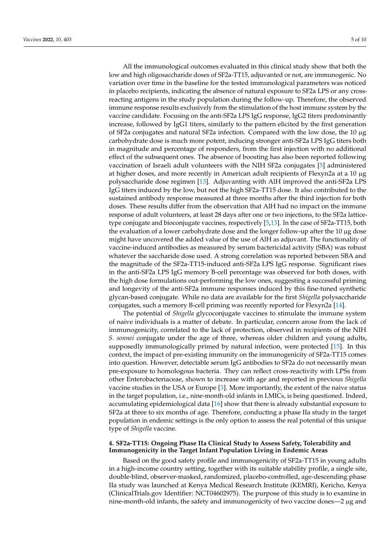All the immunological outcomes evaluated in this clinical study show that both the low and high oligosaccharide doses of SF2a-TT15, adjuvanted or not, are immunogenic. No variation over time in the baseline for the tested immunological parameters was noticed in placebo recipients, indicating the absence of natural exposure to SF2a LPS or any crossreacting antigens in the study population during the follow-up. Therefore, the observed immune response results exclusively from the stimulation of the host immune system by the vaccine candidate. Focusing on the anti-SF2a LPS IgG response, IgG2 titers predominantly increase, followed by IgG1 titers, similarly to the pattern elicited by the first generation of SF2a conjugates and natural SF2a infection. Compared with the low dose, the 10 µg carbohydrate dose is much more potent, inducing stronger anti-SF2a LPS IgG titers both in magnitude and percentage of responders, from the first injection with no additional effect of the subsequent ones. The absence of boosting has also been reported following vaccination of Israeli adult volunteers with the NIH SF2a conjugates [5] administered at higher doses, and more recently in American adult recipients of Flexyn2a at a 10 µg polysaccharide dose regimen [13]. Adjuvanting with AlH improved the anti-SF2a LPS IgG titers induced by the low, but not the high SF2a-TT15 dose. It also contributed to the sustained antibody response measured at three months after the third injection for both doses. These results differ from the observation that AlH had no impact on the immune response of adult volunteers, at least 28 days after one or two injections, to the SF2a latticetype conjugate and bioconjugate vaccines, respectively [5,13]. In the case of SF2a-TT15, both the evaluation of a lower carbohydrate dose and the longer follow-up after the 10 µg dose might have uncovered the added value of the use of AlH as adjuvant. The functionality of vaccine-induced antibodies as measured by serum bactericidal activity (SBA) was robust whatever the saccharide dose used. A strong correlation was reported between SBA and the magnitude of the SF2a-TT15-induced anti-SF2a LPS IgG response. Significant rises in the anti-SF2a LPS IgG memory B-cell percentage was observed for both doses, with the high dose formulations out-performing the low ones, suggesting a successful priming and longevity of the anti-SF2a immune responses induced by this fine-tuned synthetic glycan-based conjugate. While no data are available for the first *Shigella* polysaccharide conjugates, such a memory B-cell priming was recently reported for Flexyn2a [14].

The potential of *Shigella* glycoconjugate vaccines to stimulate the immune system of naive individuals is a matter of debate. In particular, concern arose from the lack of immunogenicity, correlated to the lack of protection, observed in recipients of the NIH *S. sonnei* conjugate under the age of three, whereas older children and young adults, supposedly immunologically primed by natural infection, were protected [15]. In this context, the impact of pre-existing immunity on the immunogenicity of SF2a-TT15 comes into question. However, detectable serum IgG antibodies to SF2a do not necessarily mean pre-exposure to homologous bacteria. They can reflect cross-reactivity with LPSs from other Enterobacteriaceae, shown to increase with age and reported in previous *Shigella* vaccine studies in the USA or Europe [3]. More importantly, the extent of the naive status in the target population, i.e., nine-month-old infants in LMICs, is being questioned. Indeed, accumulating epidemiological data [16] show that there is already substantial exposure to SF2a at three to six months of age. Therefore, conducting a phase IIa study in the target population in endemic settings is the only option to assess the real potential of this unique type of *Shigella* vaccine.

## **4. SF2a-TT15: Ongoing Phase IIa Clinical Study to Assess Safety, Tolerability and Immunogenicity in the Target Infant Population Living in Endemic Areas**

Based on the good safety profile and immunogenicity of SF2a-TT15 in young adults in a high-income country setting, together with its suitable stability profile, a single site, double-blind, observer-masked, randomized, placebo-controlled, age-descending phase IIa study was launched at Kenya Medical Research Institute (KEMRI), Kericho, Kenya (ClinicalTrials.gov Identifier: NCT04602975). The purpose of this study is to examine in nine-month-old infants, the safety and immunogenicity of two vaccine doses—2 µg and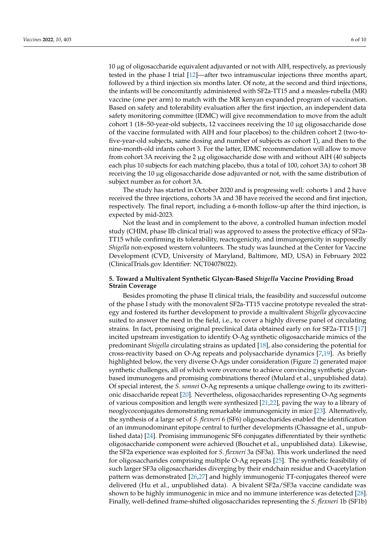10 µg of oligosaccharide equivalent adjuvanted or not with AlH, respectively, as previously tested in the phase I trial [12]—after two intramuscular injections three months apart, followed by a third injection six months later. Of note, at the second and third injections, the infants will be concomitantly administered with SF2a-TT15 and a measles-rubella (MR) vaccine (one per arm) to match with the MR kenyan expanded program of vaccination. Based on safety and tolerability evaluation after the first injection, an independent data safety monitoring committee (IDMC) will give recommendation to move from the adult cohort 1 (18–50-year-old subjects, 12 vaccinees receiving the 10 µg oligosaccharide dose of the vaccine formulated with AlH and four placebos) to the children cohort 2 (two-tofive-year-old subjects, same dosing and number of subjects as cohort 1), and then to the nine-month-old infants cohort 3. For the latter, IDMC recommendation will allow to move from cohort 3A receiving the 2 µg oligosaccharide dose with and without AlH (40 subjects each plus 10 subjects for each matching placebo, thus a total of 100, cohort 3A) to cohort 3B receiving the 10 µg oligosaccharide dose adjuvanted or not, with the same distribution of subject number as for cohort 3A.

The study has started in October 2020 and is progressing well: cohorts 1 and 2 have received the three injections, cohorts 3A and 3B have received the second and first injection, respectively. The final report, including a 6-month follow-up after the third injection, is expected by mid-2023.

Not the least and in complement to the above, a controlled human infection model study (CHIM, phase IIb clinical trial) was approved to assess the protective efficacy of SF2a-TT15 while confirming its tolerability, reactogenicity, and immunogenicity in supposedly *Shigella* non-exposed western volunteers. The study was launched at the Center for Vaccine Development (CVD, University of Maryland, Baltimore, MD, USA) in February 2022 (ClinicalTrials.gov Identifier: NCT04078022).

## **5. Toward a Multivalent Synthetic Glycan-Based** *Shigella* **Vaccine Providing Broad Strain Coverage**

Besides promoting the phase II clinical trials, the feasibility and successful outcome of the phase I study with the monovalent SF2a-TT15 vaccine prototype revealed the strategy and fostered its further development to provide a multivalent *Shigella* glycovaccine suited to answer the need in the field, i.e., to cover a highly diverse panel of circulating strains. In fact, promising original preclinical data obtained early on for SF2a-TT15 [17] incited upstream investigation to identify O-Ag synthetic oligosaccharide mimics of the predominant *Shigella* circulating strains as updated [18], also considering the potential for cross-reactivity based on O-Ag repeats and polysaccharide dynamics [7,19]. As briefly highlighted below, the very diverse O-Ags under consideration (Figure 2) generated major synthetic challenges, all of which were overcome to achieve convincing synthetic glycanbased immunogens and promising combinations thereof (Mulard et al., unpublished data). Of special interest, the *S. sonnei* O-Ag represents a unique challenge owing to its zwitterionic disaccharide repeat [20]. Nevertheless, oligosaccharides representing O-Ag segments of various composition and length were synthesized [21,22], paving the way to a library of neoglycoconjugates demonstrating remarkable immunogenicity in mice [23]. Alternatively, the synthesis of a large set of *S. flexneri* 6 (SF6) oligosaccharides enabled the identification of an immunodominant epitope central to further developments (Chassagne et al., unpublished data) [24]. Promising immunogenic SF6 conjugates differentiated by their synthetic oligosaccharide component were achieved (Bouchet et al., unpublished data). Likewise, the SF2a experience was exploited for *S. flexneri* 3a (SF3a). This work underlined the need for oligosaccharides comprising multiple O-Ag repeats [25]. The synthetic feasibility of such larger SF3a oligosaccharides diverging by their endchain residue and O-acetylation pattern was demonstrated [26,27] and highly immunogenic TT-conjugates thereof were delivered (Hu et al., unpublished data). A bivalent SF2a/SF3a vaccine candidate was shown to be highly immunogenic in mice and no immune interference was detected [28]. Finally, well-defined frame-shifted oligosaccharides representing the *S. flexneri* 1b (SF1b)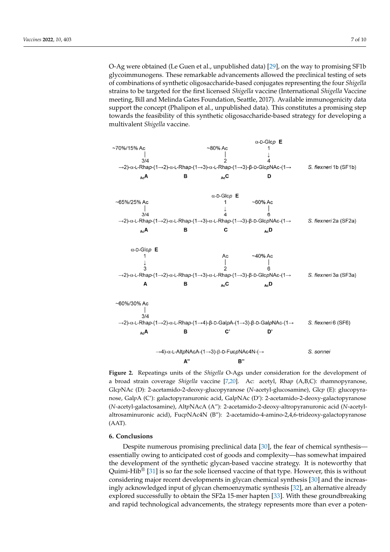O-Ag were obtained (Le Guen et al., unpublished data) [29], on the way to promising SF1b glycoimmunogens. These remarkable advancements allowed the preclinical testing of sets of combinations of synthetic oligosaccharide-based conjugates representing the four *Shigella* strains to be targeted for the first licensed *Shigella* vaccine (International *Shigella* Vaccine representing the four *Shigella* strains to be targeted for the first licensed *Shigella* vaccine meeting, Bill and Melinda Gates Foundation, Seattle, 2017). Available immunogenicity data support the concept (Phalipon et al., unpublished data). This constitutes a promising step support the concept (Phalipon et al., unpublished data). This constitutes a promising step<br>towards the feasibility of this synthetic oligosaccharide-based strategy for developing a multivalent *Shigella* vaccine. based strategy for developing a multivalent *Shigella* vaccine.



**Figure 2.** Repeatings units of the *Shigella* O-Ags under consideration for the development of a broad strain coverage *Shigella* vaccine [7,20]. Ac: acetyl, Rhap (A,B,C): rhamnopyranose, GlcpNAc (D): 2-acetamido-2-deoxy-glucopyranose (N-acetyl-glucosamine), Glcp (E): glucopyranose, Gal $p$ A (C'): galactopyranuronic acid, Gal $p$ NAc (D'): 2-acetamido-2-deoxy-galactopyranose mine), Alt*p*NAcA (A"): 2-acetamido-2-deoxy-altropyranuronic acid (*N*-acetyl-altrosaminuronic (*N*-acetyl-galactosamine), Alt*p*NAcA (A"): 2-acetamido-2-deoxy-altropyranuronic acid (*N*-acetylaltrosaminuronic acid), FucpNAc4N (B"): 2-acetamido-4-amino-2,4,6-trideoxy-galactopyranose (AAT).

#### Despite numerous promising preclinical data [30], the fear of chemical synthesis— **6. Conclusions**

Despite numerous promising preclinical data [30], the fear of chemical synthesis essentially owing to anticipated cost of goods and complexity—has somewhat impaired the development of the synthetic glycan-based vaccine strategy. It is noteworthy that Quimi-Hib<sup>®</sup> [31] is so far the sole licensed vaccine of that type. However, this is without considering major recent developments in glycan chemical synthesis [30] and the increasingly acknowledged input of glycan chemoenzymatic synthesis [32], an alternative already explored successfully to obtain the SF2a 15-mer hapten [33]. With these groundbreaking and rapid technological advancements, the strategy represents more than ever a poten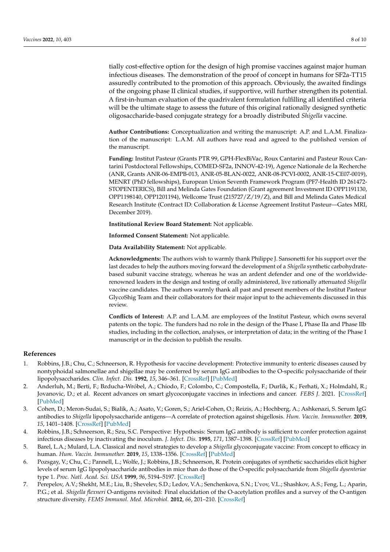tially cost-effective option for the design of high promise vaccines against major human infectious diseases. The demonstration of the proof of concept in humans for SF2a-TT15 assuredly contributed to the promotion of this approach. Obviously, the awaited findings of the ongoing phase II clinical studies, if supportive, will further strengthen its potential. A first-in-human evaluation of the quadrivalent formulation fulfilling all identified criteria will be the ultimate stage to assess the future of this original rationally designed synthetic oligosaccharide-based conjugate strategy for a broadly distributed *Shigella* vaccine.

**Author Contributions:** Conceptualization and writing the manuscript: A.P. and L.A.M. Finalization of the manuscript: L.A.M. All authors have read and agreed to the published version of the manuscript.

**Funding:** Institut Pasteur (Grants PTR 99, GPH-FlexBiVac, Roux Cantarini and Pasteur Roux Cantarini Postdoctoral Fellowships, COMED-SF2a, INNOV-42-19), Agence Nationale de la Recherche (ANR, Grants ANR-06-EMPB-013, ANR-05-BLAN-0022, ANR-08-PCVI-0002, ANR-15-CE07-0019), MENRT (PhD fellowships), European Union Seventh Framework Program (PF7-Health ID 261472- STOPENTERICS), Bill and Melinda Gates Foundation (Grant agreement Investment ID OPP1191130, OPP1198140, OPP1201194), Wellcome Trust (215727/Z/19/Z), and Bill and Melinda Gates Medical Research Institute (Contract ID: Collaboration & License Agreement Institut Pasteur—Gates MRI, December 2019).

**Institutional Review Board Statement:** Not applicable.

**Informed Consent Statement:** Not applicable.

**Data Availability Statement:** Not applicable.

**Acknowledgments:** The authors wish to warmly thank Philippe J. Sansonetti for his support over the last decades to help the authors moving forward the development of a *Shigella* synthetic carbohydratebased subunit vaccine strategy, whereas he was an ardent defender and one of the worldwiderenowned leaders in the design and testing of orally administered, live rationally attenuated *Shigella* vaccine candidates. The authors warmly thank all past and present members of the Institut Pasteur GlycoShig Team and their collaborators for their major input to the achievements discussed in this review.

**Conflicts of Interest:** A.P. and L.A.M. are employees of the Institut Pasteur, which owns several patents on the topic. The funders had no role in the design of the Phase I, Phase IIa and Phase IIb studies, including in the collection, analyses, or interpretation of data; in the writing of the Phase I manuscript or in the decision to publish the results.

### **References**

- 1. Robbins, J.B.; Chu, C.; Schneerson, R. Hypothesis for vaccine development: Protective immunity to enteric diseases caused by nontyphoidal salmonellae and shigellae may be conferred by serum IgG antibodies to the O-specific polysaccharide of their lipopolysaccharides. *Clin. Infect. Dis.* **1992**, *15*, 346–361. [\[CrossRef\]](http://doi.org/10.1093/clinids/15.2.346) [\[PubMed\]](http://www.ncbi.nlm.nih.gov/pubmed/1381621)
- 2. Anderluh, M.; Berti, F.; Bzducha-Wróbel, A.; Chiodo, F.; Colombo, C.; Compostella, F.; Durlik, K.; Ferhati, X.; Holmdahl, R.; Jovanovic, D.; et al. Recent advances on smart glycoconjugate vaccines in infections and cancer. *FEBS J.* 2021. [\[CrossRef\]](http://doi.org/10.1111/febs.15909) [\[PubMed\]](http://www.ncbi.nlm.nih.gov/pubmed/33934527)
- 3. Cohen, D.; Meron-Sudai, S.; Bialik, A.; Asato, V.; Goren, S.; Ariel-Cohen, O.; Reizis, A.; Hochberg, A.; Ashkenazi, S. Serum IgG antibodies to *Shigella* lipopolysaccharide antigens—A correlate of protection against shigellosis. *Hum. Vaccin. Immunother.* **2019**, *15*, 1401–1408. [\[CrossRef\]](http://doi.org/10.1080/21645515.2019.1606971) [\[PubMed\]](http://www.ncbi.nlm.nih.gov/pubmed/31070988)
- 4. Robbins, J.B.; Schneerson, R.; Szu, S.C. Perspective: Hypothesis: Serum IgG antibody is sufficient to confer protection against infectious diseases by inactivating the inoculum. *J. Infect. Dis.* **1995**, *171*, 1387–1398. [\[CrossRef\]](http://doi.org/10.1093/infdis/171.6.1387) [\[PubMed\]](http://www.ncbi.nlm.nih.gov/pubmed/7769272)
- 5. Barel, L.A.; Mulard, L.A. Classical and novel strategies to develop a *Shigella* glycoconjugate vaccine: From concept to efficacy in human. *Hum. Vaccin. Immunother.* **2019**, *15*, 1338–1356. [\[CrossRef\]](http://doi.org/10.1080/21645515.2019.1606972) [\[PubMed\]](http://www.ncbi.nlm.nih.gov/pubmed/31158047)
- 6. Pozsgay, V.; Chu, C.; Pannell, L.; Wolfe, J.; Robbins, J.B.; Schneerson, R. Protein conjugates of synthetic saccharides elicit higher levels of serum IgG lipopolysaccharide antibodies in mice than do those of the O-specific polysaccharide from *Shigella dysenteriae* type 1. *Proc. Natl. Acad. Sci. USA* **1999**, *96*, 5194–5197. [\[CrossRef\]](http://doi.org/10.1073/pnas.96.9.5194)
- 7. Perepelov, A.V.; Shekht, M.E.; Liu, B.; Shevelev, S.D.; Ledov, V.A.; Senchenkova, S.N.; L'vov, V.L.; Shashkov, A.S.; Feng, L.; Aparin, P.G.; et al. *Shigella flexneri* O-antigens revisited: Final elucidation of the O-acetylation profiles and a survey of the O-antigen structure diversity. *FEMS Immunol. Med. Microbiol.* **2012**, *66*, 201–210. [\[CrossRef\]](http://doi.org/10.1111/j.1574-695X.2012.01000.x)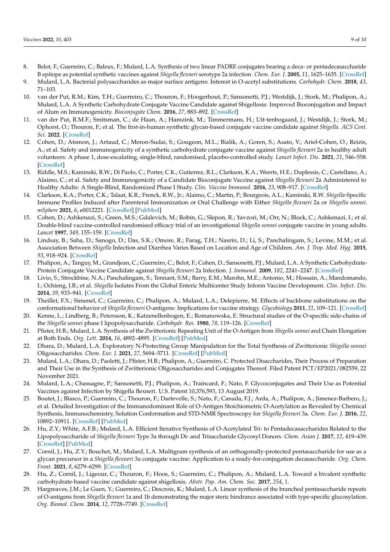- 8. Belot, F.; Guerreiro, C.; Baleux, F.; Mulard, L.A. Synthesis of two linear PADRE conjugates bearing a deca- or pentadecasaccharide B epitope as potential synthetic vaccines against *Shigella flexneri* serotype 2a infection. *Chem. Eur. J.* **2005**, *11*, 1625–1635. [\[CrossRef\]](http://doi.org/10.1002/chem.200400903)
- 9. Mulard, L.A. Bacterial polysaccharides as major surface antigens: Interest in O-acetyl substitutions. *Carbohydr. Chem.* **2018**, *43*, 71–103.
- 10. van der Put, R.M.; Kim, T.H.; Guerreiro, C.; Thouron, F.; Hoogerhout, P.; Sansonetti, P.J.; Westdijk, J.; Stork, M.; Phalipon, A.; Mulard, L.A. A Synthetic Carbohydrate Conjugate Vaccine Candidate against Shigellosis: Improved Bioconjugation and Impact of Alum on Immunogenicity. *Bioconjugate Chem.* **2016**, *27*, 883–892. [\[CrossRef\]](http://doi.org/10.1021/acs.bioconjchem.5b00617)
- 11. van der Put, R.M.F.; Smitsman, C.; de Haan, A.; Hamzink, M.; Timmermans, H.; Uit-tenbogaard, J.; Westdijk, J.; Stork, M.; Ophorst, O.; Thouron, F.; et al. The first-in-human synthetic glycan-based conjugate vaccine candidate against *Shigella*. *ACS Cent. Sci.* **2022**. [\[CrossRef\]](http://doi.org/10.1021/acscentsci.1c01479)
- 12. Cohen, D.; Atsmon, J.; Artaud, C.; Meron-Sudai, S.; Gougeon, M.L.; Bialik, A.; Goren, S.; Asato, V.; Ariel-Cohen, O.; Reizis, A.; et al. Safety and immunogenicity of a synthetic carbohydrate conjugate vaccine against *Shigella flexneri* 2a in healthy adult volunteers: A phase 1, dose-escalating, single-blind, randomised, placebo-controlled study. *Lancet Infect. Dis.* **2021**, *21*, 546–558. [\[CrossRef\]](http://doi.org/10.1016/S1473-3099(20)30488-6)
- 13. Riddle, M.S.; Kaminski, R.W.; Di Paolo, C.; Porter, C.K.; Gutierrez, R.L.; Clarkson, K.A.; Weerts, H.E.; Duplessis, C.; Castellano, A.; Alaimo, C.; et al. Safety and Immunogenicity of a Candidate Bioconjugate Vaccine against *Shigella flexneri* 2a Administered to Healthy Adults: A Single-Blind, Randomized Phase I Study. *Clin. Vaccine Immunol.* **2016**, *23*, 908–917. [\[CrossRef\]](http://doi.org/10.1128/CVI.00224-16)
- 14. Clarkson, K.A.; Porter, C.K.; Talaat, K.R.; Frenck, R.W., Jr.; Alaimo, C.; Martin, P.; Bourgeois, A.L.; Kaminski, R.W. *Shigella*-Specific Immune Profiles Induced after Parenteral Immunization or Oral Challenge with Either *Shigella flexneri* 2a or *Shigella sonnei*. *mSphere* **2021**, *6*, e0012221. [\[CrossRef\]](http://doi.org/10.1128/mSphere.00122-21) [\[PubMed\]](http://www.ncbi.nlm.nih.gov/pubmed/34259559)
- 15. Cohen, D.; Ashkenazi, S.; Green, M.S.; Gdalevich, M.; Robin, G.; Slepon, R.; Yavzori, M.; Orr, N.; Block, C.; Ashkenazi, I.; et al. Double-blind vaccine-controlled randomised efficacy trial of an investigational *Shigella sonnei* conjugate vaccine in young adults. *Lancet* **1997**, *349*, 155–159. [\[CrossRef\]](http://doi.org/10.1016/S0140-6736(96)06255-1)
- 16. Lindsay, B.; Saha, D.; Sanogo, D.; Das, S.K.; Omore, R.; Farag, T.H.; Nasrin, D.; Li, S.; Panchalingam, S.; Levine, M.M.; et al. Association Between *Shigella* Infection and Diarrhea Varies Based on Location and Age of Children. *Am. J. Trop. Med. Hyg.* **2015**, *93*, 918–924. [\[CrossRef\]](http://doi.org/10.4269/ajtmh.14-0319)
- 17. Phalipon, A.; Tanguy, M.; Grandjean, C.; Guerreiro, C.; Belot, F.; Cohen, D.; Sansonetti, P.J.; Mulard, L.A. A Synthetic Carbohydrate-Protein Conjugate Vaccine Candidate against *Shigella flexneri* 2a Infection. *J. Immunol.* **2009**, *182*, 2241–2247. [\[CrossRef\]](http://doi.org/10.4049/jimmunol.0803141)
- 18. Livio, S.; Strockbine, N.A.; Panchalingam, S.; Tennant, S.M.; Barry, E.M.; Marohn, M.E.; Antonio, M.; Hossain, A.; Mandomando, I.; Ochieng, J.B.; et al. *Shigella* Isolates From the Global Enteric Multicenter Study Inform Vaccine Development. *Clin. Infect. Dis.* **2014**, *59*, 933–941. [\[CrossRef\]](http://doi.org/10.1093/cid/ciu468)
- 19. Theillet, F.X.; Simenel, C.; Guerreiro, C.; Phalipon, A.; Mulard, L.A.; Delepierre, M. Effects of backbone substitutions on the conformational behavior of *Shigella flexneri* O-antigens: Implications for vaccine strategy. *Glycobiology* **2011**, *21*, 109–121. [\[CrossRef\]](http://doi.org/10.1093/glycob/cwq136)
- 20. Kenne, L.; Lindberg, B.; Petersson, K.; Katzenellenbogen, E.; Romanowska, E. Structural studies of the O-specific side-chains of the *Shigella sonnei* phase I lipopolysaccharide. *Carbohydr. Res.* **1980**, *78*, 119–126. [\[CrossRef\]](http://doi.org/10.1016/S0008-6215(00)83665-4)
- 21. Pfister, H.B.; Mulard, L.A. Synthesis of the Zwitterionic Repeating Unit of the O-Antigen from *Shigella sonnei* and Chain Elongation at Both Ends. *Org. Lett.* **2014**, *16*, 4892–4895. [\[CrossRef\]](http://doi.org/10.1021/ol502395k) [\[PubMed\]](http://www.ncbi.nlm.nih.gov/pubmed/25210812)
- 22. Dhara, D.; Mulard, L.A. Exploratory N-Protecting Group Manipulation for the Total Synthesis of Zwitterionic *Shigella sonnei* Oligosaccharides. *Chem. Eur. J.* **2021**, *27*, 5694–5711. [\[CrossRef\]](http://doi.org/10.1002/chem.202003480) [\[PubMed\]](http://www.ncbi.nlm.nih.gov/pubmed/33314456)
- 23. Mulard, L.A.; Dhara, D.; Paoletti, J.; Pfister, H.B.; Phalipon, A.; Guerreiro, C. Protected Disaccharides, Their Process of Preparation and Their Use in the Synthesis of Zwitterionic Oligosaccharides and Conjugates Thereof. Filed Patent PCT/EP2021/082559, 22 November 2021.
- 24. Mulard, L.A.; Chassagne, P.; Sansonetti, P.J.; Phalipon, A.; Traincard, F.; Nato, F. Glycoconjugates and Their Use as Potential Vaccines against Infection by Shigella flexneri. U.S. Patent 10,376,593, 13 August 2019.
- 25. Boutet, J.; Blasco, P.; Guerreiro, C.; Thouron, F.; Dartevelle, S.; Nato, F.; Canada, F.J.; Arda, A.; Phalipon, A.; Jimenez-Barbero, J.; et al. Detailed Investigation of the Immunodominant Role of O-Antigen Stoichiometric O-Acetylation as Revealed by Chemical Synthesis, Immunochemistry, Solution Conformation and STD-NMR Spectroscopy for *Shigella flexneri* 3a. *Chem. Eur. J.* **2016**, *22*, 10892–10911. [\[CrossRef\]](http://doi.org/10.1002/chem.201600567) [\[PubMed\]](http://www.ncbi.nlm.nih.gov/pubmed/27376496)
- 26. Hu, Z.Y.; White, A.F.B.; Mulard, L.A. Efficient Iterative Synthesis of O-Acetylated Tri- to Pentadecasaccharides Related to the Lipopolysaccharide of *Shigella flexneri* Type 3a through Di- and Trisaccharide Glycosyl Donors. *Chem. Asian J.* **2017**, *12*, 419–439. [\[CrossRef\]](http://doi.org/10.1002/asia.201600819) [\[PubMed\]](http://www.ncbi.nlm.nih.gov/pubmed/27385615)
- 27. Cornil, J.; Hu, Z.Y.; Bouchet, M.; Mulard, L.A. Multigram synthesis of an orthogonally-protected pentasaccharide for use as a glycan precursor in a *Shigella flexneri* 3a conjugate vaccine: Application to a ready-for-conjugation decasaccharide. *Org. Chem. Front.* **2021**, *8*, 6279–6299. [\[CrossRef\]](http://doi.org/10.1039/D1QO00761K)
- 28. Hu, Z.; Cornil, J.; Ligeour, C.; Thouron, F.; Hoos, S.; Guerreiro, C.; Phalipon, A.; Mulard, L.A. Toward a bivalent synthetic carbohydrate-based vaccine candidate against shigellosis. *Abstr. Pap. Am. Chem. Soc.* **2017**, *254*, 1.
- 29. Hargreaves, J.M.; Le Guen, Y.; Guerreiro, C.; Descroix, K.; Mulard, L.A. Linear synthesis of the branched pentasaccharide repeats of O-antigens from *Shigella flexneri* 1a and 1b demonstrating the major steric hindrance associated with type-specific glucosylation. *Org. Biomol. Chem.* **2014**, *12*, 7728–7749. [\[CrossRef\]](http://doi.org/10.1039/C4OB01200C)